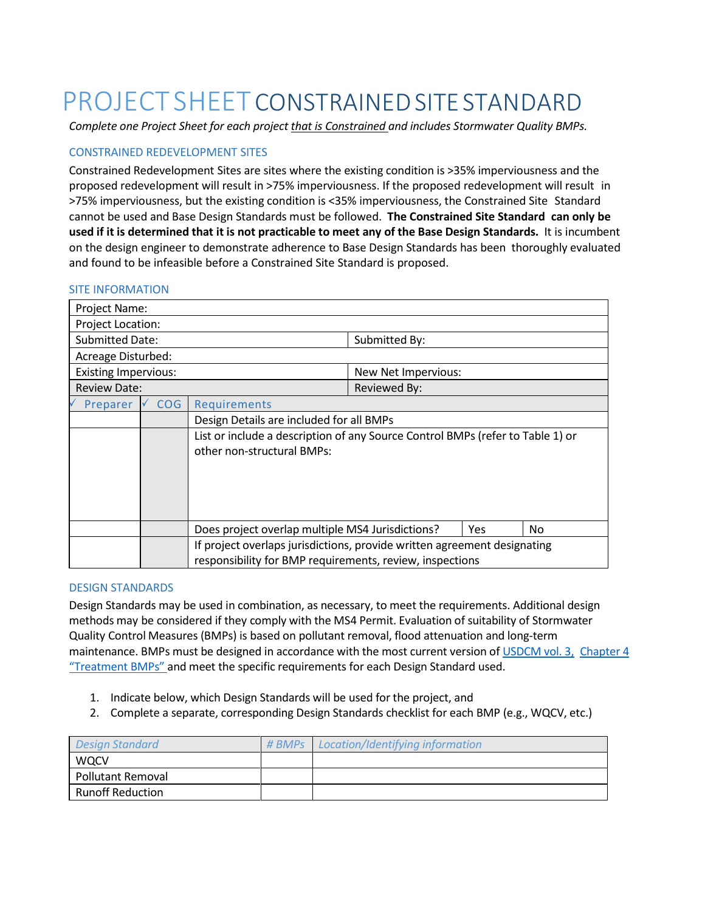## PROJECT SHEET CONSTRAINED SITE STANDARD

*Complete one Project Sheet for each project that is Constrained and includes Stormwater Quality BMPs.*

### CONSTRAINED REDEVELOPMENT SITES

Constrained Redevelopment Sites are sites where the existing condition is >35% imperviousness and the proposed redevelopment will result in >75% imperviousness. If the proposed redevelopment will result in >75% imperviousness, but the existing condition is <35% imperviousness, the Constrained Site Standard cannot be used and Base [Design Standards](file://///goldfile/depts/Public%20Works/Environmental%20Lab/LABS/STORM/Phase%20II%20permit/_PDD/4%20Post%20Construction/program%20development/COGSSM/1%20Design%20Standards%20Project%20Sheet%20Base%20Design%20Standards.docx) must be followed. **The Constrained Site Standard can only be used if it is determined that it is not practicable to meet any of the Base Design Standards.** It is incumbent on the design engineer to demonstrate adherence to Base Design Standards has been thoroughly evaluated and found to be infeasible before a Constrained Site Standard is proposed.

## Project Name: Project Location: Submitted Date: Submitted By: Acreage Disturbed: Existing Impervious: New Net Impervious: Review Date:  $\vert$  Reviewed By: Preparer V COG Requirements Design Details are included for all BMPs List or include a description of any Source Control BMPs (refer to Table 1) or other non-structural BMPs: Does project overlap multiple MS4 Jurisdictions?  $|$  Yes  $|$  No If project overlaps jurisdictions, provide written agreement designating responsibility for BMP requirements, review, inspections

#### SITE INFORMATION

#### DESIGN STANDARDS

Design Standards may be used in combination, as necessary, to meet the requirements. Additional design methods may be considered if they comply with the MS4 Permit. Evaluation of suitability of Stormwater Quality Control Measures (BMPs) is based on pollutant removal, flood attenuation and long-term maintenance. BMPs must be designed in accordance with the most current version of [USDCM vol.](https://udfcd.org/volume-three) 3, [Chapter](https://udfcd.org/volume-three) 4 ["Treatment BMPs"](https://udfcd.org/volume-three) and meet the specific requirements for each Design Standard used.

- 1. Indicate below, which Design Standards will be used for the project, and
- 2. Complete a separate, corresponding Design Standards checklist for each BMP (e.g., WQCV, etc.)

| <b>Design Standard</b>   | # BMPs | Location/Identifying information |
|--------------------------|--------|----------------------------------|
| <b>WQCV</b>              |        |                                  |
| <b>Pollutant Removal</b> |        |                                  |
| <b>Runoff Reduction</b>  |        |                                  |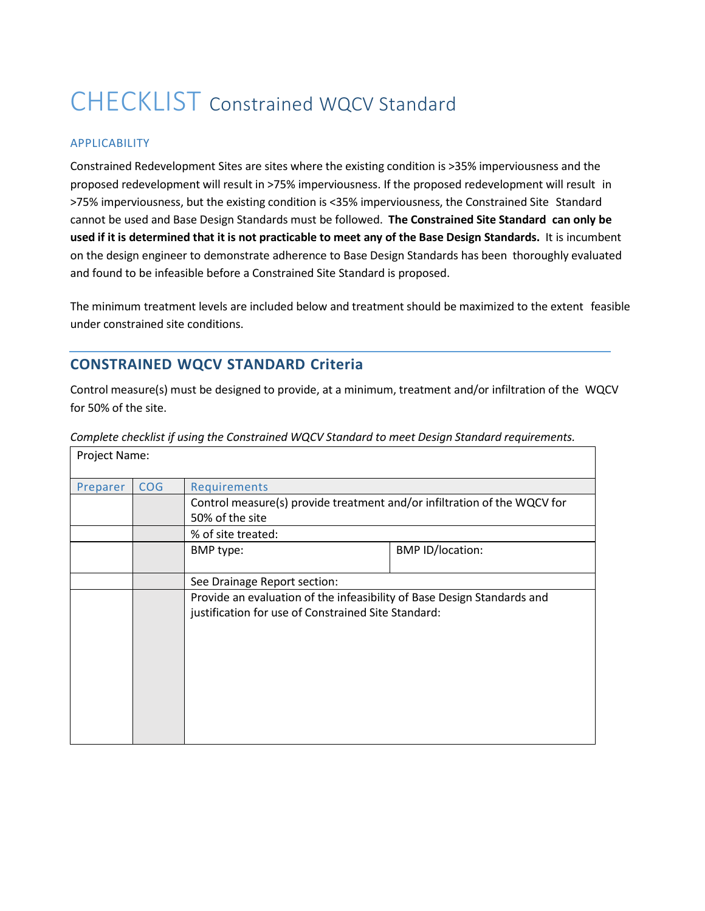## CHECKLIST Constrained WQCV Standard

### APPLICABILITY

Project Name:

Constrained Redevelopment Sites are sites where the existing condition is >35% imperviousness and the proposed redevelopment will result in >75% imperviousness. If the proposed redevelopment will result in >75% imperviousness, but the existing condition is <35% imperviousness, the Constrained Site Standard cannot be used and Base Design Standards must be followed. **The Constrained Site Standard can only be used if it is determined that it is not practicable to meet any of the Base Design Standards.** It is incumbent on the design engineer to demonstrate adherence to Base Design Standards has been thoroughly evaluated and found to be infeasible before a Constrained Site Standard is proposed.

The minimum treatment levels are included below and treatment should be maximized to the extent feasible under constrained site conditions.

## **CONSTRAINED WQCV STANDARD Criteria**

Control measure(s) must be designed to provide, at a minimum, treatment and/or infiltration of the WQCV for 50% of the site.

| $1101$ $1011$ |            |                                                                                                                                |                         |  |  |
|---------------|------------|--------------------------------------------------------------------------------------------------------------------------------|-------------------------|--|--|
| Preparer      | <b>COG</b> | Requirements                                                                                                                   |                         |  |  |
|               |            | Control measure(s) provide treatment and/or infiltration of the WQCV for                                                       |                         |  |  |
|               |            | 50% of the site<br>% of site treated:                                                                                          |                         |  |  |
|               |            |                                                                                                                                |                         |  |  |
|               |            | BMP type:                                                                                                                      | <b>BMP ID/location:</b> |  |  |
|               |            | See Drainage Report section:                                                                                                   |                         |  |  |
|               |            | Provide an evaluation of the infeasibility of Base Design Standards and<br>justification for use of Constrained Site Standard: |                         |  |  |

*Complete checklist if using the Constrained WQCV Standard to meet Design Standard requirements.*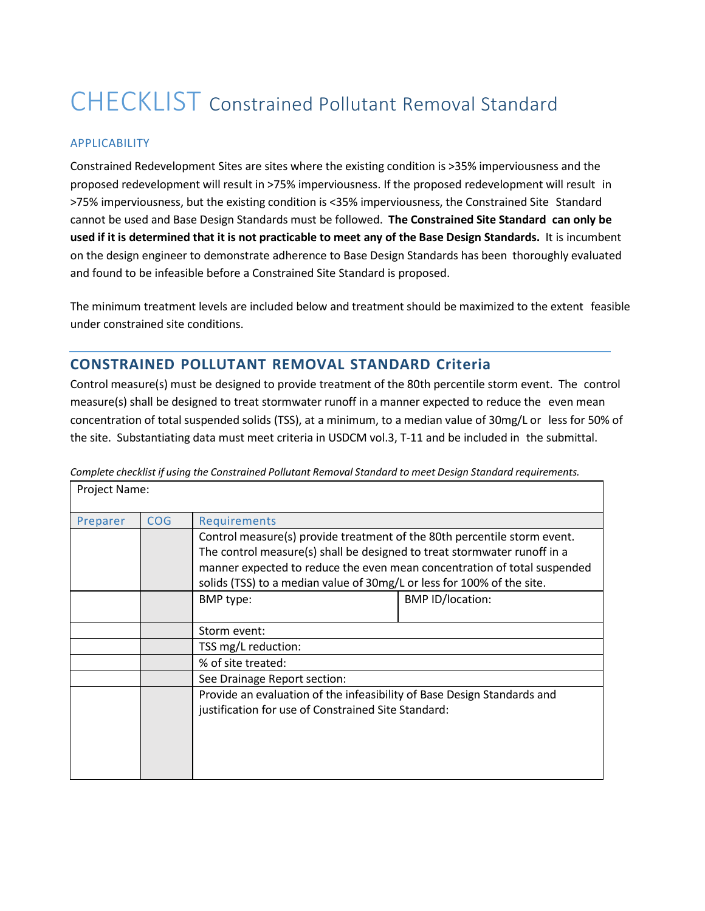# CHECKLIST Constrained Pollutant Removal Standard

### APPLICABILITY

Constrained Redevelopment Sites are sites where the existing condition is >35% imperviousness and the proposed redevelopment will result in >75% imperviousness. If the proposed redevelopment will result in >75% imperviousness, but the existing condition is <35% imperviousness, the Constrained Site Standard cannot be used and Base Design Standards must be followed. **The Constrained Site Standard can only be used if it is determined that it is not practicable to meet any of the Base Design Standards.** It is incumbent on the design engineer to demonstrate adherence to Base Design Standards has been thoroughly evaluated and found to be infeasible before a Constrained Site Standard is proposed.

The minimum treatment levels are included below and treatment should be maximized to the extent feasible under constrained site conditions.

## **CONSTRAINED POLLUTANT REMOVAL STANDARD Criteria**

Control measure(s) must be designed to provide treatment of the 80th percentile storm event. The control measure(s) shall be designed to treat stormwater runoff in a manner expected to reduce the even mean concentration of total suspended solids (TSS), at a minimum, to a median value of 30mg/L or less for 50% of the site. Substantiating data must meet criteria in USDCM vol.3, T-11 and be included in the submittal.

| Project Name: |            |                                                                                                                                                                                                                                                                                                            |                         |  |
|---------------|------------|------------------------------------------------------------------------------------------------------------------------------------------------------------------------------------------------------------------------------------------------------------------------------------------------------------|-------------------------|--|
| Preparer      | <b>COG</b> | Requirements                                                                                                                                                                                                                                                                                               |                         |  |
|               |            | Control measure(s) provide treatment of the 80th percentile storm event.<br>The control measure(s) shall be designed to treat stormwater runoff in a<br>manner expected to reduce the even mean concentration of total suspended<br>solids (TSS) to a median value of 30mg/L or less for 100% of the site. |                         |  |
|               |            | BMP type:                                                                                                                                                                                                                                                                                                  | <b>BMP ID/location:</b> |  |
|               |            | Storm event:                                                                                                                                                                                                                                                                                               |                         |  |
|               |            | TSS mg/L reduction:                                                                                                                                                                                                                                                                                        |                         |  |
|               |            | % of site treated:                                                                                                                                                                                                                                                                                         |                         |  |
|               |            | See Drainage Report section:                                                                                                                                                                                                                                                                               |                         |  |
|               |            | Provide an evaluation of the infeasibility of Base Design Standards and<br>justification for use of Constrained Site Standard:                                                                                                                                                                             |                         |  |

*Complete checklist if using the Constrained Pollutant Removal Standard to meet Design Standard requirements.* Project Name: